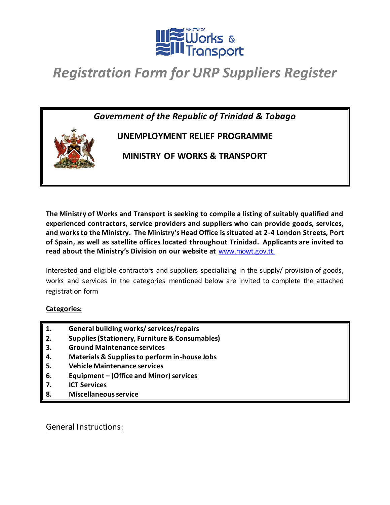

*Government of the Republic of Trinidad & Tobago* **UNEMPLOYMENT RELIEF PROGRAMME MINISTRY OF WORKS & TRANSPORT**

**The Ministry of Works and Transport is seeking to compile a listing of suitably qualified and experienced contractors, service providers and suppliers who can provide goods, services, and works to the Ministry. The Ministry's Head Office is situated at 2-4 London Streets, Port of Spain, as well as satellite offices located throughout Trinidad. Applicants are invited to read about the Ministry's Division on our website at** [www.mowt.gov.tt](http://www.mowt.gov.tt/).

Interested and eligible contractors and suppliers specializing in the supply/ provision of goods, works and services in the categories mentioned below are invited to complete the attached registration form

#### **Categories:**

- **1. General building works/ services/repairs**
- **2. Supplies (Stationery, Furniture & Consumables)**
- **3. Ground Maintenance services**
- **4. Materials & Supplies to perform in-house Jobs**
- **5. Vehicle Maintenance services**
- **6. Equipment – (Office and Minor) services**
- **7. ICT Services**
- **8. Miscellaneous service**

General Instructions: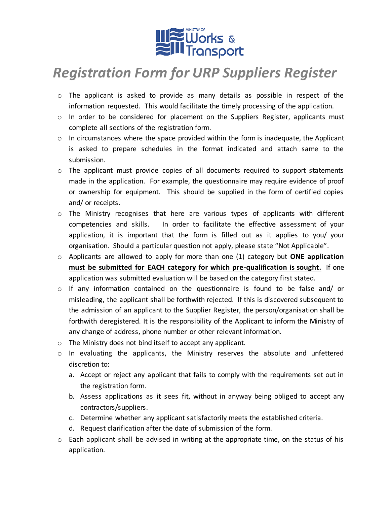

- o The applicant is asked to provide as many details as possible in respect of the information requested. This would facilitate the timely processing of the application.
- o In order to be considered for placement on the Suppliers Register, applicants must complete all sections of the registration form.
- $\circ$  In circumstances where the space provided within the form is inadequate, the Applicant is asked to prepare schedules in the format indicated and attach same to the submission.
- $\circ$  The applicant must provide copies of all documents required to support statements made in the application. For example, the questionnaire may require evidence of proof or ownership for equipment. This should be supplied in the form of certified copies and/ or receipts.
- $\circ$  The Ministry recognises that here are various types of applicants with different competencies and skills. In order to facilitate the effective assessment of your application, it is important that the form is filled out as it applies to you/ your organisation. Should a particular question not apply, please state "Not Applicable".
- o Applicants are allowed to apply for more than one (1) category but **ONE application must be submitted for EACH category for which pre-qualification is sought.** If one application was submitted evaluation will be based on the category first stated.
- $\circ$  If any information contained on the questionnaire is found to be false and/ or misleading, the applicant shall be forthwith rejected. If this is discovered subsequent to the admission of an applicant to the Supplier Register, the person/organisation shall be forthwith deregistered. It is the responsibility of the Applicant to inform the Ministry of any change of address, phone number or other relevant information.
- o The Ministry does not bind itself to accept any applicant.
- o In evaluating the applicants, the Ministry reserves the absolute and unfettered discretion to:
	- a. Accept or reject any applicant that fails to comply with the requirements set out in the registration form.
	- b. Assess applications as it sees fit, without in anyway being obliged to accept any contractors/suppliers.
	- c. Determine whether any applicant satisfactorily meets the established criteria.
	- d. Request clarification after the date of submission of the form.
- $\circ$  Each applicant shall be advised in writing at the appropriate time, on the status of his application.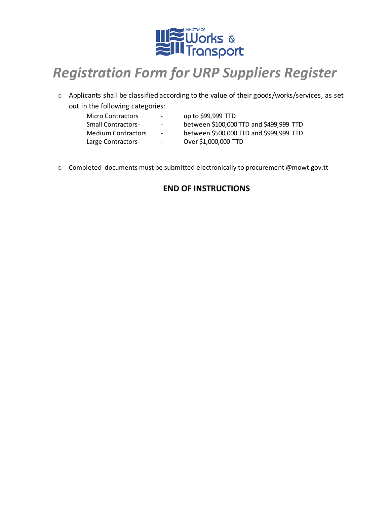

- o Applicants shall be classified according to the value of their goods/works/services, as set out in the following categories:
	- -
		- Micro Contractors up to \$99,999 TTD
		- Small Contractors- between \$100,000 TTD and \$499,999 TTD
		- Medium Contractors between \$500,000 TTD and \$999,999 TTD
		-
		- Large Contractors- Over \$1,000,000 TTD
- o Completed documents must be submitted electronically to procurement @mowt.gov.tt

### **END OF INSTRUCTIONS**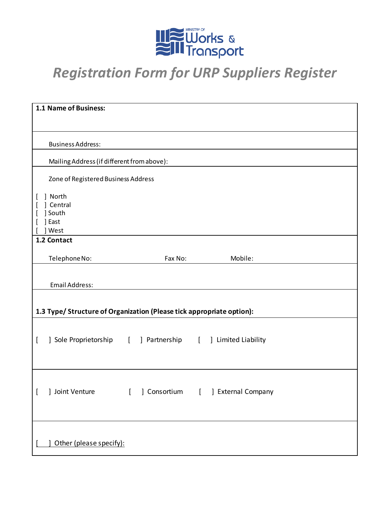

| 1.1 Name of Business:                                                 |                                      |  |  |  |  |  |
|-----------------------------------------------------------------------|--------------------------------------|--|--|--|--|--|
|                                                                       |                                      |  |  |  |  |  |
| <b>Business Address:</b>                                              |                                      |  |  |  |  |  |
| Mailing Address (if different from above):                            |                                      |  |  |  |  |  |
|                                                                       |                                      |  |  |  |  |  |
| Zone of Registered Business Address                                   |                                      |  |  |  |  |  |
| ] North<br>] Central<br>] South<br>] East<br>] West                   |                                      |  |  |  |  |  |
| 1.2 Contact                                                           |                                      |  |  |  |  |  |
| Telephone No:                                                         | Mobile:<br>Fax No:                   |  |  |  |  |  |
| <b>Email Address:</b>                                                 |                                      |  |  |  |  |  |
|                                                                       |                                      |  |  |  |  |  |
| 1.3 Type/ Structure of Organization (Please tick appropriate option): |                                      |  |  |  |  |  |
| ] Sole Proprietorship [                                               | ] Partnership [ ] Limited Liability  |  |  |  |  |  |
| Joint Venture<br>$\mathbf{I}$<br>t                                    | [ ] External Company<br>] Consortium |  |  |  |  |  |
| Other (please specify):                                               |                                      |  |  |  |  |  |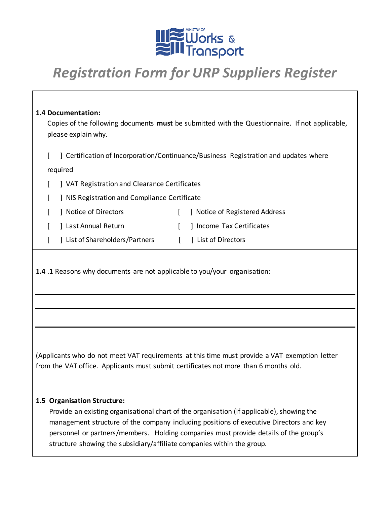

#### **1.4 Documentation:**

Copies of the following documents **must** be submitted with the Questionnaire. If not applicable, please explain why.

[ ] Certification of Incorporation/Continuance/Business Registration and updates where

#### required

- [ ] VAT Registration and Clearance Certificates
- [ ] NIS Registration and Compliance Certificate
- [ ] Notice of Directors [ ] Notice of Registered Address
- [ ] Last Annual Return [ ] Income Tax Certificates
- [ ] List of Shareholders/Partners [ ] List of Directors

**1.4** .**1** Reasons why documents are not applicable to you/your organisation:

(Applicants who do not meet VAT requirements at this time must provide a VAT exemption letter from the VAT office. Applicants must submit certificates not more than 6 months old.

#### **1.5 Organisation Structure:**

Provide an existing organisational chart of the organisation (if applicable), showing the management structure of the company including positions of executive Directors and key personnel or partners/members. Holding companies must provide details of the group's structure showing the subsidiary/affiliate companies within the group.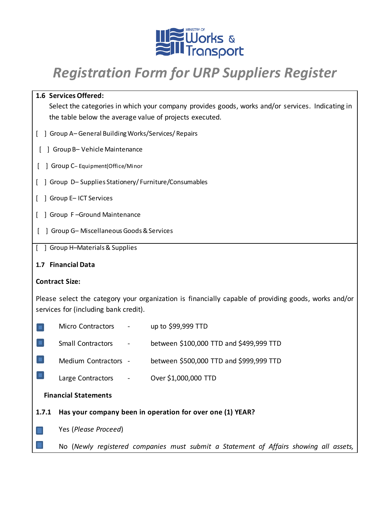

| 1.6 Services Offered:                                                                                |  |  |  |  |
|------------------------------------------------------------------------------------------------------|--|--|--|--|
| Select the categories in which your company provides goods, works and/or services. Indicating in     |  |  |  |  |
| the table below the average value of projects executed.                                              |  |  |  |  |
| [ ] Group A-General Building Works/Services/ Repairs                                                 |  |  |  |  |
| ] Group B-Vehicle Maintenance                                                                        |  |  |  |  |
| Group C-Equipment(Office/Minor                                                                       |  |  |  |  |
| [ ] Group D-Supplies Stationery/Furniture/Consumables                                                |  |  |  |  |
| [ ] Group E-ICT Services                                                                             |  |  |  |  |
| [ ] Group F-Ground Maintenance                                                                       |  |  |  |  |
| ] Group G- Miscellaneous Goods & Services                                                            |  |  |  |  |
| [ ] Group H-Materials & Supplies                                                                     |  |  |  |  |
| 1.7 Financial Data                                                                                   |  |  |  |  |
| <b>Contract Size:</b>                                                                                |  |  |  |  |
| Please select the category your organization is financially capable of providing goods, works and/or |  |  |  |  |
| services for (including bank credit).                                                                |  |  |  |  |
| <b>Micro Contractors</b><br>up to \$99,999 TTD                                                       |  |  |  |  |
| <b>Small Contractors</b><br>between \$100,000 TTD and \$499,999 TTD<br>$\blacksquare$                |  |  |  |  |
| Medium Contractors -<br>between \$500,000 TTD and \$999,999 TTD                                      |  |  |  |  |
| Over \$1,000,000 TTD<br>Large Contractors                                                            |  |  |  |  |
| <b>Financial Statements</b>                                                                          |  |  |  |  |
| Has your company been in operation for over one (1) YEAR?<br>1.7.1                                   |  |  |  |  |
| Yes (Please Proceed)                                                                                 |  |  |  |  |
|                                                                                                      |  |  |  |  |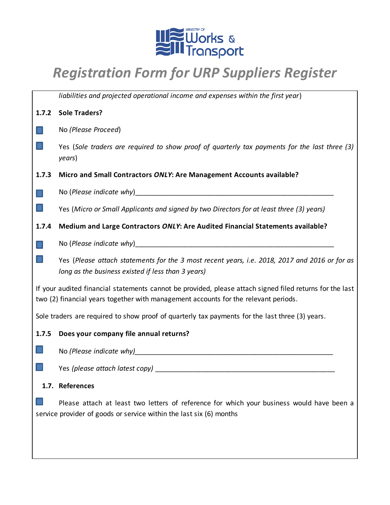

|                                                                                                                                                                                                 | liabilities and projected operational income and expenses within the first year)                                                                                 |  |  |  |  |
|-------------------------------------------------------------------------------------------------------------------------------------------------------------------------------------------------|------------------------------------------------------------------------------------------------------------------------------------------------------------------|--|--|--|--|
| 1.7.2                                                                                                                                                                                           | <b>Sole Traders?</b>                                                                                                                                             |  |  |  |  |
|                                                                                                                                                                                                 | No (Please Proceed)                                                                                                                                              |  |  |  |  |
|                                                                                                                                                                                                 | Yes (Sole traders are required to show proof of quarterly tax payments for the last three (3)<br>years)                                                          |  |  |  |  |
| 1.7.3                                                                                                                                                                                           | Micro and Small Contractors ONLY: Are Management Accounts available?                                                                                             |  |  |  |  |
|                                                                                                                                                                                                 |                                                                                                                                                                  |  |  |  |  |
|                                                                                                                                                                                                 | Yes (Micro or Small Applicants and signed by two Directors for at least three (3) years)                                                                         |  |  |  |  |
| 1.7.4                                                                                                                                                                                           | Medium and Large Contractors ONLY: Are Audited Financial Statements available?                                                                                   |  |  |  |  |
|                                                                                                                                                                                                 |                                                                                                                                                                  |  |  |  |  |
|                                                                                                                                                                                                 | Yes (Please attach statements for the 3 most recent years, i.e. 2018, 2017 and 2016 or for as<br>long as the business existed if less than 3 years)              |  |  |  |  |
| If your audited financial statements cannot be provided, please attach signed filed returns for the last<br>two (2) financial years together with management accounts for the relevant periods. |                                                                                                                                                                  |  |  |  |  |
| Sole traders are required to show proof of quarterly tax payments for the last three (3) years.                                                                                                 |                                                                                                                                                                  |  |  |  |  |
| 1.7.5                                                                                                                                                                                           | Does your company file annual returns?                                                                                                                           |  |  |  |  |
|                                                                                                                                                                                                 |                                                                                                                                                                  |  |  |  |  |
|                                                                                                                                                                                                 |                                                                                                                                                                  |  |  |  |  |
|                                                                                                                                                                                                 | 1.7. References                                                                                                                                                  |  |  |  |  |
|                                                                                                                                                                                                 | Please attach at least two letters of reference for which your business would have been a<br>service provider of goods or service within the last six (6) months |  |  |  |  |
|                                                                                                                                                                                                 |                                                                                                                                                                  |  |  |  |  |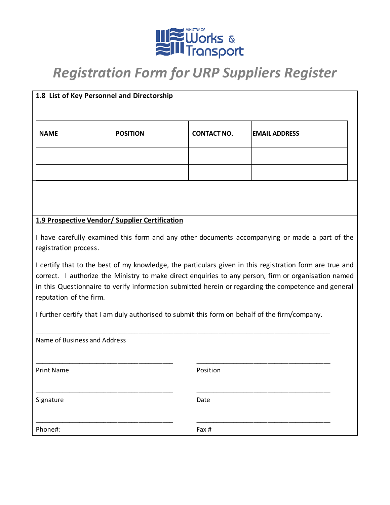

|                                                                                                                                                                                                                                                                                                                                                     | 1.8 List of Key Personnel and Directorship     |                    |                      |  |  |  |
|-----------------------------------------------------------------------------------------------------------------------------------------------------------------------------------------------------------------------------------------------------------------------------------------------------------------------------------------------------|------------------------------------------------|--------------------|----------------------|--|--|--|
| <b>NAME</b>                                                                                                                                                                                                                                                                                                                                         | <b>POSITION</b>                                | <b>CONTACT NO.</b> | <b>EMAIL ADDRESS</b> |  |  |  |
|                                                                                                                                                                                                                                                                                                                                                     |                                                |                    |                      |  |  |  |
|                                                                                                                                                                                                                                                                                                                                                     |                                                |                    |                      |  |  |  |
|                                                                                                                                                                                                                                                                                                                                                     |                                                |                    |                      |  |  |  |
|                                                                                                                                                                                                                                                                                                                                                     | 1.9 Prospective Vendor/ Supplier Certification |                    |                      |  |  |  |
| I have carefully examined this form and any other documents accompanying or made a part of the<br>registration process.                                                                                                                                                                                                                             |                                                |                    |                      |  |  |  |
| I certify that to the best of my knowledge, the particulars given in this registration form are true and<br>correct. I authorize the Ministry to make direct enquiries to any person, firm or organisation named<br>in this Questionnaire to verify information submitted herein or regarding the competence and general<br>reputation of the firm. |                                                |                    |                      |  |  |  |
| I further certify that I am duly authorised to submit this form on behalf of the firm/company.                                                                                                                                                                                                                                                      |                                                |                    |                      |  |  |  |
| Name of Business and Address                                                                                                                                                                                                                                                                                                                        |                                                |                    |                      |  |  |  |
| <b>Print Name</b>                                                                                                                                                                                                                                                                                                                                   |                                                | Position           |                      |  |  |  |
| Signature                                                                                                                                                                                                                                                                                                                                           | Date                                           |                    |                      |  |  |  |
| Phone#:                                                                                                                                                                                                                                                                                                                                             |                                                | Fax #              |                      |  |  |  |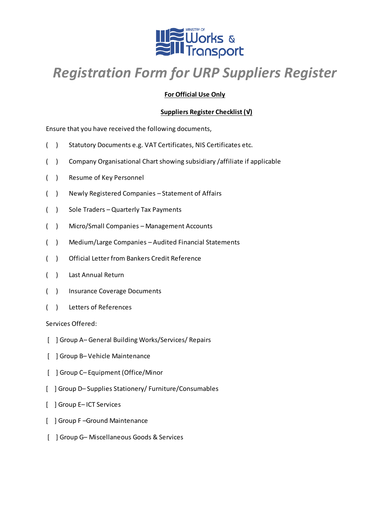

#### **For Official Use Only**

#### **Suppliers Register Checklist (√)**

Ensure that you have received the following documents,

- ( ) Statutory Documents e.g. VAT Certificates, NIS Certificates etc.
- ( ) Company Organisational Chart showing subsidiary /affiliate if applicable
- ( ) Resume of Key Personnel
- ( ) Newly Registered Companies Statement of Affairs
- ( ) Sole Traders Quarterly Tax Payments
- ( ) Micro/Small Companies Management Accounts
- ( ) Medium/Large Companies Audited Financial Statements
- ( ) Official Letter from Bankers Credit Reference
- ( ) Last Annual Return
- ( ) Insurance Coverage Documents
- ( ) Letters of References

Services Offered:

- [ ] Group A– General Building Works/Services/ Repairs
- [ ] Group B– Vehicle Maintenance
- [ ] Group C– Equipment (Office/Minor
- [ ] Group D– Supplies Stationery/ Furniture/Consumables
- [ ] Group E– ICT Services
- [ ] Group F –Ground Maintenance
- [ ] Group G– Miscellaneous Goods & Services